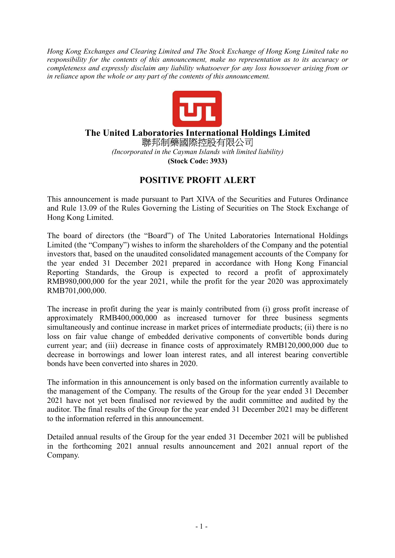*Hong Kong Exchanges and Clearing Limited and The Stock Exchange of Hong Kong Limited take no responsibility for the contents of this announcement, make no representation as to its accuracy or completeness and expressly disclaim any liability whatsoever for any loss howsoever arising from or in reliance upon the whole or any part of the contents of this announcement.* 



## **The United Laboratories International Holdings Limited**  聯邦制藥國際控股有限公司

*(Incorporated in the Cayman Islands with limited liability)*  **(Stock Code: 3933)** 

## **POSITIVE PROFIT ALERT**

This announcement is made pursuant to Part XIVA of the Securities and Futures Ordinance and Rule 13.09 of the Rules Governing the Listing of Securities on The Stock Exchange of Hong Kong Limited.

The board of directors (the "Board") of The United Laboratories International Holdings Limited (the "Company") wishes to inform the shareholders of the Company and the potential investors that, based on the unaudited consolidated management accounts of the Company for the year ended 31 December 2021 prepared in accordance with Hong Kong Financial Reporting Standards, the Group is expected to record a profit of approximately RMB980,000,000 for the year 2021, while the profit for the year 2020 was approximately RMB701,000,000.

The increase in profit during the year is mainly contributed from (i) gross profit increase of approximately RMB400,000,000 as increased turnover for three business segments simultaneously and continue increase in market prices of intermediate products; (ii) there is no loss on fair value change of embedded derivative components of convertible bonds during current year; and (iii) decrease in finance costs of approximately RMB120,000,000 due to decrease in borrowings and lower loan interest rates, and all interest bearing convertible bonds have been converted into shares in 2020.

The information in this announcement is only based on the information currently available to the management of the Company. The results of the Group for the year ended 31 December 2021 have not yet been finalised nor reviewed by the audit committee and audited by the auditor. The final results of the Group for the year ended 31 December 2021 may be different to the information referred in this announcement.

Detailed annual results of the Group for the year ended 31 December 2021 will be published in the forthcoming 2021 annual results announcement and 2021 annual report of the Company.